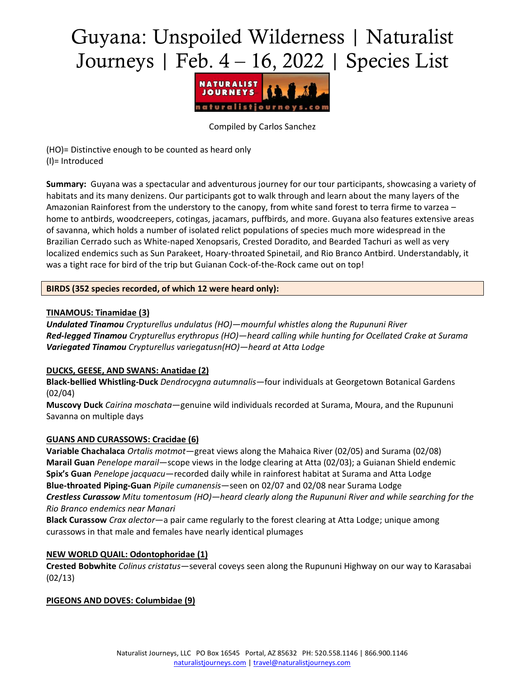# Guyana: Unspoiled Wilderness | Naturalist Journeys | Feb. 4 – 16, 2022 | Species List



Compiled by Carlos Sanchez

(HO)= Distinctive enough to be counted as heard only (I)= Introduced

**Summary:** Guyana was a spectacular and adventurous journey for our tour participants, showcasing a variety of habitats and its many denizens. Our participants got to walk through and learn about the many layers of the Amazonian Rainforest from the understory to the canopy, from white sand forest to terra firme to varzea – home to antbirds, woodcreepers, cotingas, jacamars, puffbirds, and more. Guyana also features extensive areas of savanna, which holds a number of isolated relict populations of species much more widespread in the Brazilian Cerrado such as White-naped Xenopsaris, Crested Doradito, and Bearded Tachuri as well as very localized endemics such as Sun Parakeet, Hoary-throated Spinetail, and Rio Branco Antbird. Understandably, it was a tight race for bird of the trip but Guianan Cock-of-the-Rock came out on top!

# **BIRDS (352 species recorded, of which 12 were heard only):**

## **TINAMOUS: Tinamidae (3)**

*Undulated Tinamou Crypturellus undulatus (HO)—mournful whistles along the Rupununi River Red-legged Tinamou Crypturellus erythropus (HO)—heard calling while hunting for Ocellated Crake at Surama Variegated Tinamou Crypturellus variegatusn(HO)—heard at Atta Lodge*

# **DUCKS, GEESE, AND SWANS: Anatidae (2)**

**Black-bellied Whistling-Duck** *Dendrocygna autumnalis*—four individuals at Georgetown Botanical Gardens (02/04)

**Muscovy Duck** *Cairina moschata*—genuine wild individuals recorded at Surama, Moura, and the Rupununi Savanna on multiple days

## **GUANS AND CURASSOWS: Cracidae (6)**

**Variable Chachalaca** *Ortalis motmot*—great views along the Mahaica River (02/05) and Surama (02/08) **Marail Guan** *Penelope marail*—scope views in the lodge clearing at Atta (02/03); a Guianan Shield endemic **Spix's Guan** *Penelope jacquacu*—recorded daily while in rainforest habitat at Surama and Atta Lodge **Blue-throated Piping-Guan** *Pipile cumanensis*—seen on 02/07 and 02/08 near Surama Lodge *Crestless Curassow Mitu tomentosum (HO)—heard clearly along the Rupununi River and while searching for the Rio Branco endemics near Manari*

**Black Curassow** *Crax alector*—a pair came regularly to the forest clearing at Atta Lodge; unique among curassows in that male and females have nearly identical plumages

# **NEW WORLD QUAIL: Odontophoridae (1)**

**Crested Bobwhite** *Colinus cristatus*—several coveys seen along the Rupununi Highway on our way to Karasabai (02/13)

**PIGEONS AND DOVES: Columbidae (9)**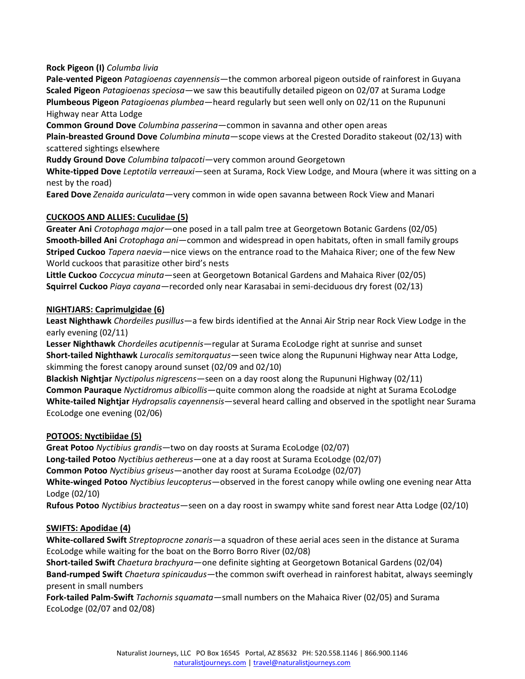**Rock Pigeon (I)** *Columba livia*

**Pale-vented Pigeon** *Patagioenas cayennensis*—the common arboreal pigeon outside of rainforest in Guyana **Scaled Pigeon** *Patagioenas speciosa*—we saw this beautifully detailed pigeon on 02/07 at Surama Lodge **Plumbeous Pigeon** *Patagioenas plumbea*—heard regularly but seen well only on 02/11 on the Rupununi Highway near Atta Lodge

**Common Ground Dove** *Columbina passerina*—common in savanna and other open areas

**Plain-breasted Ground Dove** *Columbina minuta*—scope views at the Crested Doradito stakeout (02/13) with scattered sightings elsewhere

**Ruddy Ground Dove** *Columbina talpacoti*—very common around Georgetown

**White-tipped Dove** *Leptotila verreauxi*—seen at Surama, Rock View Lodge, and Moura (where it was sitting on a nest by the road)

**Eared Dove** *Zenaida auriculata*—very common in wide open savanna between Rock View and Manari

## **CUCKOOS AND ALLIES: Cuculidae (5)**

**Greater Ani** *Crotophaga major*—one posed in a tall palm tree at Georgetown Botanic Gardens (02/05) **Smooth-billed Ani** *Crotophaga ani*—common and widespread in open habitats, often in small family groups **Striped Cuckoo** *Tapera naevia*—nice views on the entrance road to the Mahaica River; one of the few New World cuckoos that parasitize other bird's nests

**Little Cuckoo** *Coccycua minuta*—seen at Georgetown Botanical Gardens and Mahaica River (02/05) **Squirrel Cuckoo** *Piaya cayana*—recorded only near Karasabai in semi-deciduous dry forest (02/13)

#### **NIGHTJARS: Caprimulgidae (6)**

**Least Nighthawk** *Chordeiles pusillus*—a few birds identified at the Annai Air Strip near Rock View Lodge in the early evening (02/11)

**Lesser Nighthawk** *Chordeiles acutipennis*—regular at Surama EcoLodge right at sunrise and sunset **Short-tailed Nighthawk** *Lurocalis semitorquatus*—seen twice along the Rupununi Highway near Atta Lodge, skimming the forest canopy around sunset (02/09 and 02/10)

**Blackish Nightjar** *Nyctipolus nigrescens*—seen on a day roost along the Rupununi Highway (02/11) **Common Pauraque** *Nyctidromus albicollis*—quite common along the roadside at night at Surama EcoLodge **White-tailed Nightjar** *Hydropsalis cayennensis*—several heard calling and observed in the spotlight near Surama EcoLodge one evening (02/06)

## **POTOOS: Nyctibiidae (5)**

**Great Potoo** *Nyctibius grandis*—two on day roosts at Surama EcoLodge (02/07) **Long-tailed Potoo** *Nyctibius aethereus*—one at a day roost at Surama EcoLodge (02/07)

**Common Potoo** *Nyctibius griseus*—another day roost at Surama EcoLodge (02/07)

**White-winged Potoo** *Nyctibius leucopterus*—observed in the forest canopy while owling one evening near Atta Lodge (02/10)

**Rufous Potoo** *Nyctibius bracteatus*—seen on a day roost in swampy white sand forest near Atta Lodge (02/10)

## **SWIFTS: Apodidae (4)**

**White-collared Swift** *Streptoprocne zonaris*—a squadron of these aerial aces seen in the distance at Surama EcoLodge while waiting for the boat on the Borro Borro River (02/08)

**Short-tailed Swift** *Chaetura brachyura*—one definite sighting at Georgetown Botanical Gardens (02/04) **Band-rumped Swift** *Chaetura spinicaudus*—the common swift overhead in rainforest habitat, always seemingly present in small numbers

**Fork-tailed Palm-Swift** *Tachornis squamata*—small numbers on the Mahaica River (02/05) and Surama EcoLodge (02/07 and 02/08)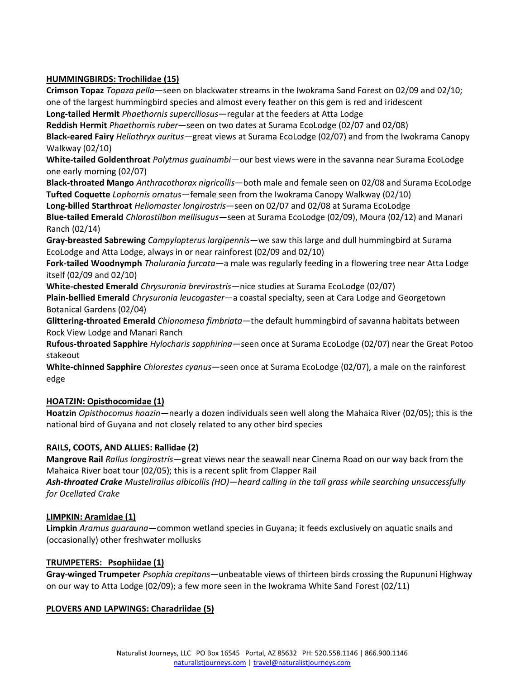# **HUMMINGBIRDS: Trochilidae (15)**

**Crimson Topaz** *Topaza pella*—seen on blackwater streams in the Iwokrama Sand Forest on 02/09 and 02/10; one of the largest hummingbird species and almost every feather on this gem is red and iridescent **Long-tailed Hermit** *Phaethornis superciliosus*—regular at the feeders at Atta Lodge **Reddish Hermit** *Phaethornis ruber*—seen on two dates at Surama EcoLodge (02/07 and 02/08) **Black-eared Fairy** *Heliothryx auritus*—great views at Surama EcoLodge (02/07) and from the Iwokrama Canopy Walkway (02/10) **White-tailed Goldenthroat** *Polytmus guainumbi*—our best views were in the savanna near Surama EcoLodge one early morning (02/07) **Black-throated Mango** *Anthracothorax nigricollis*—both male and female seen on 02/08 and Surama EcoLodge **Tufted Coquette** *Lophornis ornatus*—female seen from the Iwokrama Canopy Walkway (02/10) **Long-billed Starthroat** *Heliomaster longirostris*—seen on 02/07 and 02/08 at Surama EcoLodge **Blue-tailed Emerald** *Chlorostilbon mellisugus*—seen at Surama EcoLodge (02/09), Moura (02/12) and Manari Ranch (02/14) **Gray-breasted Sabrewing** *Campylopterus largipennis*—we saw this large and dull hummingbird at Surama EcoLodge and Atta Lodge, always in or near rainforest (02/09 and 02/10) **Fork-tailed Woodnymph** *Thalurania furcata*—a male was regularly feeding in a flowering tree near Atta Lodge itself (02/09 and 02/10) **White-chested Emerald** *Chrysuronia brevirostris*—nice studies at Surama EcoLodge (02/07)

**Plain-bellied Emerald** *Chrysuronia leucogaster*—a coastal specialty, seen at Cara Lodge and Georgetown Botanical Gardens (02/04)

**Glittering-throated Emerald** *Chionomesa fimbriata*—the default hummingbird of savanna habitats between Rock View Lodge and Manari Ranch

**Rufous-throated Sapphire** *Hylocharis sapphirina*—seen once at Surama EcoLodge (02/07) near the Great Potoo stakeout

**White-chinned Sapphire** *Chlorestes cyanus*—seen once at Surama EcoLodge (02/07), a male on the rainforest edge

# **HOATZIN: Opisthocomidae (1)**

**Hoatzin** *Opisthocomus hoazin*—nearly a dozen individuals seen well along the Mahaica River (02/05); this is the national bird of Guyana and not closely related to any other bird species

# **RAILS, COOTS, AND ALLIES: Rallidae (2)**

**Mangrove Rail** *Rallus longirostris*—great views near the seawall near Cinema Road on our way back from the Mahaica River boat tour (02/05); this is a recent split from Clapper Rail

*Ash-throated Crake Mustelirallus albicollis (HO)—heard calling in the tall grass while searching unsuccessfully for Ocellated Crake*

# **LIMPKIN: Aramidae (1)**

**Limpkin** *Aramus guarauna*—common wetland species in Guyana; it feeds exclusively on aquatic snails and (occasionally) other freshwater mollusks

# **TRUMPETERS: Psophiidae (1)**

**Gray-winged Trumpeter** *Psophia crepitans*—unbeatable views of thirteen birds crossing the Rupununi Highway on our way to Atta Lodge (02/09); a few more seen in the Iwokrama White Sand Forest (02/11)

# **PLOVERS AND LAPWINGS: Charadriidae (5)**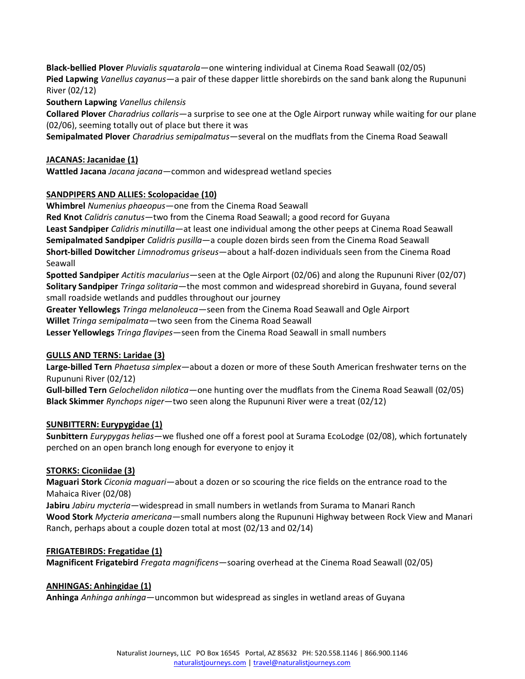**Black-bellied Plover** *Pluvialis squatarola*—one wintering individual at Cinema Road Seawall (02/05) **Pied Lapwing** *Vanellus cayanus*—a pair of these dapper little shorebirds on the sand bank along the Rupununi River (02/12)

**Southern Lapwing** *Vanellus chilensis*

**Collared Plover** *Charadrius collaris*—a surprise to see one at the Ogle Airport runway while waiting for our plane (02/06), seeming totally out of place but there it was

**Semipalmated Plover** *Charadrius semipalmatus*—several on the mudflats from the Cinema Road Seawall

## **JACANAS: Jacanidae (1)**

**Wattled Jacana** *Jacana jacana*—common and widespread wetland species

## **SANDPIPERS AND ALLIES: Scolopacidae (10)**

**Whimbrel** *Numenius phaeopus*—one from the Cinema Road Seawall

**Red Knot** *Calidris canutus*—two from the Cinema Road Seawall; a good record for Guyana **Least Sandpiper** *Calidris minutilla*—at least one individual among the other peeps at Cinema Road Seawall **Semipalmated Sandpiper** *Calidris pusilla*—a couple dozen birds seen from the Cinema Road Seawall **Short-billed Dowitcher** *Limnodromus griseus*—about a half-dozen individuals seen from the Cinema Road Seawall

**Spotted Sandpiper** *Actitis macularius*—seen at the Ogle Airport (02/06) and along the Rupununi River (02/07) **Solitary Sandpiper** *Tringa solitaria*—the most common and widespread shorebird in Guyana, found several small roadside wetlands and puddles throughout our journey

**Greater Yellowlegs** *Tringa melanoleuca*—seen from the Cinema Road Seawall and Ogle Airport **Willet** *Tringa semipalmata*—two seen from the Cinema Road Seawall

**Lesser Yellowlegs** *Tringa flavipes*—seen from the Cinema Road Seawall in small numbers

## **GULLS AND TERNS: Laridae (3)**

**Large-billed Tern** *Phaetusa simplex*—about a dozen or more of these South American freshwater terns on the Rupununi River (02/12)

**Gull-billed Tern** *Gelochelidon nilotica*—one hunting over the mudflats from the Cinema Road Seawall (02/05) **Black Skimmer** *Rynchops niger*—two seen along the Rupununi River were a treat (02/12)

## **SUNBITTERN: Eurypygidae (1)**

**Sunbittern** *Eurypygas helias*—we flushed one off a forest pool at Surama EcoLodge (02/08), which fortunately perched on an open branch long enough for everyone to enjoy it

## **STORKS: Ciconiidae (3)**

**Maguari Stork** *Ciconia maguari*—about a dozen or so scouring the rice fields on the entrance road to the Mahaica River (02/08)

**Jabiru** *Jabiru mycteria*—widespread in small numbers in wetlands from Surama to Manari Ranch **Wood Stork** *Mycteria americana*—small numbers along the Rupununi Highway between Rock View and Manari Ranch, perhaps about a couple dozen total at most (02/13 and 02/14)

# **FRIGATEBIRDS: Fregatidae (1)**

**Magnificent Frigatebird** *Fregata magnificens*—soaring overhead at the Cinema Road Seawall (02/05)

## **ANHINGAS: Anhingidae (1)**

**Anhinga** *Anhinga anhinga*—uncommon but widespread as singles in wetland areas of Guyana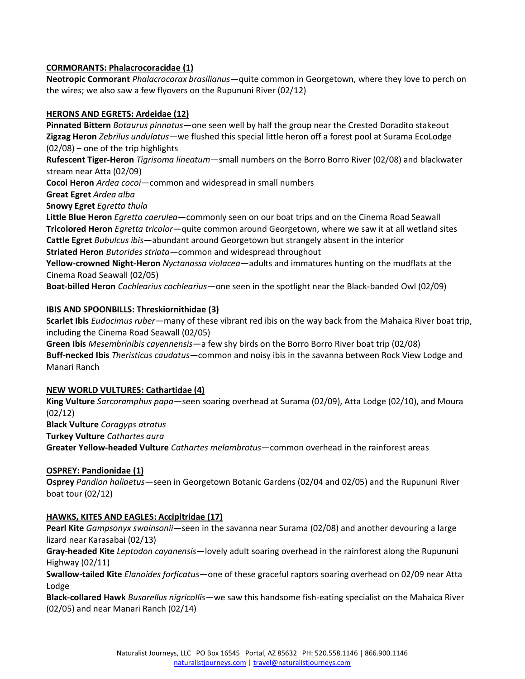# **CORMORANTS: Phalacrocoracidae (1)**

**Neotropic Cormorant** *Phalacrocorax brasilianus*—quite common in Georgetown, where they love to perch on the wires; we also saw a few flyovers on the Rupununi River (02/12)

## **HERONS AND EGRETS: Ardeidae (12)**

**Pinnated Bittern** *Botaurus pinnatus*—one seen well by half the group near the Crested Doradito stakeout **Zigzag Heron** *Zebrilus undulatus*—we flushed this special little heron off a forest pool at Surama EcoLodge (02/08) – one of the trip highlights

**Rufescent Tiger-Heron** *Tigrisoma lineatum*—small numbers on the Borro Borro River (02/08) and blackwater stream near Atta (02/09)

**Cocoi Heron** *Ardea cocoi*—common and widespread in small numbers

**Great Egret** *Ardea alba*

**Snowy Egret** *Egretta thula*

**Little Blue Heron** *Egretta caerulea*—commonly seen on our boat trips and on the Cinema Road Seawall **Tricolored Heron** *Egretta tricolor*—quite common around Georgetown, where we saw it at all wetland sites **Cattle Egret** *Bubulcus ibis*—abundant around Georgetown but strangely absent in the interior **Striated Heron** *Butorides striata*—common and widespread throughout

**Yellow-crowned Night-Heron** *Nyctanassa violacea*—adults and immatures hunting on the mudflats at the Cinema Road Seawall (02/05)

**Boat-billed Heron** *Cochlearius cochlearius*—one seen in the spotlight near the Black-banded Owl (02/09)

## **IBIS AND SPOONBILLS: Threskiornithidae (3)**

**Scarlet Ibis** *Eudocimus ruber*—many of these vibrant red ibis on the way back from the Mahaica River boat trip, including the Cinema Road Seawall (02/05)

**Green Ibis** *Mesembrinibis cayennensis*—a few shy birds on the Borro Borro River boat trip (02/08) **Buff-necked Ibis** *Theristicus caudatus*—common and noisy ibis in the savanna between Rock View Lodge and Manari Ranch

## **NEW WORLD VULTURES: Cathartidae (4)**

**King Vulture** *Sarcoramphus papa*—seen soaring overhead at Surama (02/09), Atta Lodge (02/10), and Moura (02/12)

**Black Vulture** *Coragyps atratus*

**Turkey Vulture** *Cathartes aura*

**Greater Yellow-headed Vulture** *Cathartes melambrotus*—common overhead in the rainforest areas

## **OSPREY: Pandionidae (1)**

**Osprey** *Pandion haliaetus*—seen in Georgetown Botanic Gardens (02/04 and 02/05) and the Rupununi River boat tour (02/12)

## **HAWKS, KITES AND EAGLES: Accipitridae (17)**

**Pearl Kite** *Gampsonyx swainsonii*—seen in the savanna near Surama (02/08) and another devouring a large lizard near Karasabai (02/13)

**Gray-headed Kite** *Leptodon cayanensis*—lovely adult soaring overhead in the rainforest along the Rupununi Highway (02/11)

**Swallow-tailed Kite** *Elanoides forficatus*—one of these graceful raptors soaring overhead on 02/09 near Atta Lodge

**Black-collared Hawk** *Busarellus nigricollis*—we saw this handsome fish-eating specialist on the Mahaica River (02/05) and near Manari Ranch (02/14)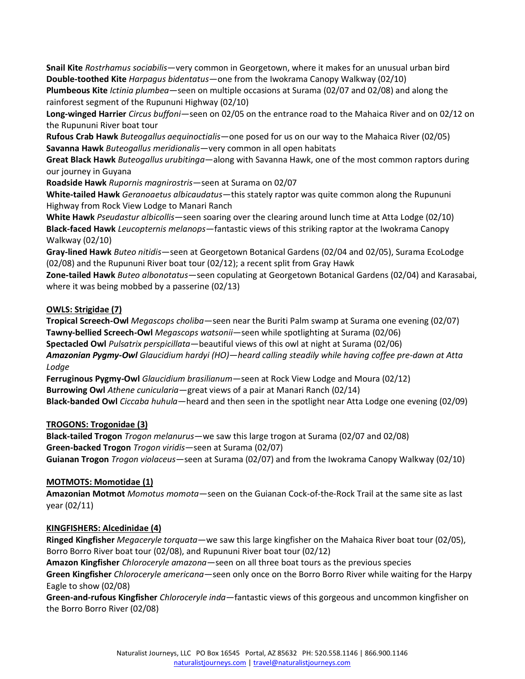**Snail Kite** *Rostrhamus sociabilis*—very common in Georgetown, where it makes for an unusual urban bird **Double-toothed Kite** *Harpagus bidentatus*—one from the Iwokrama Canopy Walkway (02/10)

**Plumbeous Kite** *Ictinia plumbea*—seen on multiple occasions at Surama (02/07 and 02/08) and along the rainforest segment of the Rupununi Highway (02/10)

**Long-winged Harrier** *Circus buffoni*—seen on 02/05 on the entrance road to the Mahaica River and on 02/12 on the Rupununi River boat tour

**Rufous Crab Hawk** *Buteogallus aequinoctialis*—one posed for us on our way to the Mahaica River (02/05) **Savanna Hawk** *Buteogallus meridionalis*—very common in all open habitats

**Great Black Hawk** *Buteogallus urubitinga*—along with Savanna Hawk, one of the most common raptors during our journey in Guyana

**Roadside Hawk** *Rupornis magnirostris*—seen at Surama on 02/07

**White-tailed Hawk** *Geranoaetus albicaudatus*—this stately raptor was quite common along the Rupununi Highway from Rock View Lodge to Manari Ranch

**White Hawk** *Pseudastur albicollis*—seen soaring over the clearing around lunch time at Atta Lodge (02/10) **Black-faced Hawk** *Leucopternis melanops*—fantastic views of this striking raptor at the Iwokrama Canopy Walkway (02/10)

**Gray-lined Hawk** *Buteo nitidis*—seen at Georgetown Botanical Gardens (02/04 and 02/05), Surama EcoLodge (02/08) and the Rupununi River boat tour (02/12); a recent split from Gray Hawk

**Zone-tailed Hawk** *Buteo albonotatus*—seen copulating at Georgetown Botanical Gardens (02/04) and Karasabai, where it was being mobbed by a passerine (02/13)

# **OWLS: Strigidae (7)**

**Tropical Screech-Owl** *Megascops choliba*—seen near the Buriti Palm swamp at Surama one evening (02/07) **Tawny-bellied Screech-Owl** *Megascops watsonii*—seen while spotlighting at Surama (02/06) **Spectacled Owl** *Pulsatrix perspicillata*—beautiful views of this owl at night at Surama (02/06) *Amazonian Pygmy-Owl Glaucidium hardyi (HO)—heard calling steadily while having coffee pre-dawn at Atta Lodge*

**Ferruginous Pygmy-Owl** *Glaucidium brasilianum*—seen at Rock View Lodge and Moura (02/12) **Burrowing Owl** *Athene cunicularia*—great views of a pair at Manari Ranch (02/14) **Black-banded Owl** *Ciccaba huhula*—heard and then seen in the spotlight near Atta Lodge one evening (02/09)

# **TROGONS: Trogonidae (3)**

**Black-tailed Trogon** *Trogon melanurus*—we saw this large trogon at Surama (02/07 and 02/08) **Green-backed Trogon** *Trogon viridis*—seen at Surama (02/07) **Guianan Trogon** *Trogon violaceus*—seen at Surama (02/07) and from the Iwokrama Canopy Walkway (02/10)

# **MOTMOTS: Momotidae (1)**

**Amazonian Motmot** *Momotus momota*—seen on the Guianan Cock-of-the-Rock Trail at the same site as last year (02/11)

# **KINGFISHERS: Alcedinidae (4)**

**Ringed Kingfisher** *Megaceryle torquata*—we saw this large kingfisher on the Mahaica River boat tour (02/05), Borro Borro River boat tour (02/08), and Rupununi River boat tour (02/12)

**Amazon Kingfisher** *Chloroceryle amazona*—seen on all three boat tours as the previous species

**Green Kingfisher** *Chloroceryle americana*—seen only once on the Borro Borro River while waiting for the Harpy Eagle to show (02/08)

**Green-and-rufous Kingfisher** *Chloroceryle inda*—fantastic views of this gorgeous and uncommon kingfisher on the Borro Borro River (02/08)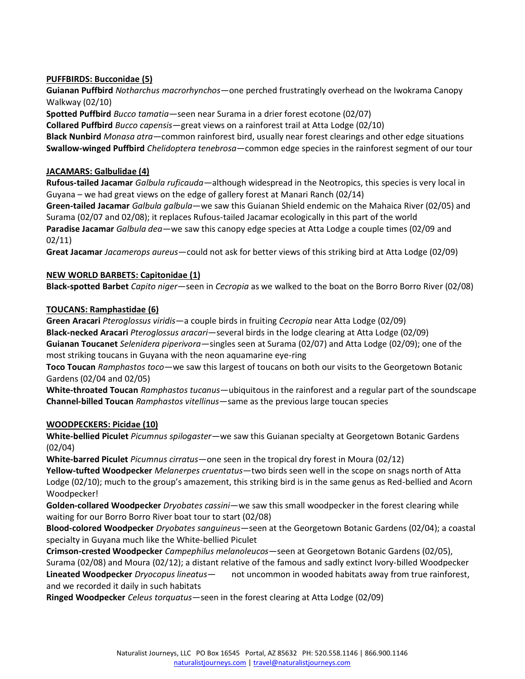# **PUFFBIRDS: Bucconidae (5)**

**Guianan Puffbird** *Notharchus macrorhynchos*—one perched frustratingly overhead on the Iwokrama Canopy Walkway (02/10)

**Spotted Puffbird** *Bucco tamatia*—seen near Surama in a drier forest ecotone (02/07)

**Collared Puffbird** *Bucco capensis*—great views on a rainforest trail at Atta Lodge (02/10)

**Black Nunbird** *Monasa atra*—common rainforest bird, usually near forest clearings and other edge situations **Swallow-winged Puffbird** *Chelidoptera tenebrosa*—common edge species in the rainforest segment of our tour

## **JACAMARS: Galbulidae (4)**

**Rufous-tailed Jacamar** *Galbula ruficauda*—although widespread in the Neotropics, this species is very local in Guyana – we had great views on the edge of gallery forest at Manari Ranch (02/14)

**Green-tailed Jacamar** *Galbula galbula*—we saw this Guianan Shield endemic on the Mahaica River (02/05) and Surama (02/07 and 02/08); it replaces Rufous-tailed Jacamar ecologically in this part of the world **Paradise Jacamar** *Galbula dea*—we saw this canopy edge species at Atta Lodge a couple times (02/09 and 02/11)

**Great Jacamar** *Jacamerops aureus*—could not ask for better views of this striking bird at Atta Lodge (02/09)

## **NEW WORLD BARBETS: Capitonidae (1)**

**Black-spotted Barbet** *Capito niger*—seen in *Cecropia* as we walked to the boat on the Borro Borro River (02/08)

## **TOUCANS: Ramphastidae (6)**

**Green Aracari** *Pteroglossus viridis*—a couple birds in fruiting *Cecropia* near Atta Lodge (02/09) **Black-necked Aracari** *Pteroglossus aracari*—several birds in the lodge clearing at Atta Lodge (02/09) **Guianan Toucanet** *Selenidera piperivora*—singles seen at Surama (02/07) and Atta Lodge (02/09); one of the most striking toucans in Guyana with the neon aquamarine eye-ring

**Toco Toucan** *Ramphastos toco*—we saw this largest of toucans on both our visits to the Georgetown Botanic Gardens (02/04 and 02/05)

**White-throated Toucan** *Ramphastos tucanus*—ubiquitous in the rainforest and a regular part of the soundscape **Channel-billed Toucan** *Ramphastos vitellinus*—same as the previous large toucan species

## **WOODPECKERS: Picidae (10)**

**White-bellied Piculet** *Picumnus spilogaster*—we saw this Guianan specialty at Georgetown Botanic Gardens (02/04)

**White-barred Piculet** *Picumnus cirratus*—one seen in the tropical dry forest in Moura (02/12)

**Yellow-tufted Woodpecker** *Melanerpes cruentatus*—two birds seen well in the scope on snags north of Atta Lodge (02/10); much to the group's amazement, this striking bird is in the same genus as Red-bellied and Acorn Woodpecker!

**Golden-collared Woodpecker** *Dryobates cassini*—we saw this small woodpecker in the forest clearing while waiting for our Borro Borro River boat tour to start (02/08)

**Blood-colored Woodpecker** *Dryobates sanguineus*—seen at the Georgetown Botanic Gardens (02/04); a coastal specialty in Guyana much like the White-bellied Piculet

**Crimson-crested Woodpecker** *Campephilus melanoleucos*—seen at Georgetown Botanic Gardens (02/05), Surama (02/08) and Moura (02/12); a distant relative of the famous and sadly extinct Ivory-billed Woodpecker **Lineated Woodpecker** *Dryocopus lineatus*— not uncommon in wooded habitats away from true rainforest, and we recorded it daily in such habitats

**Ringed Woodpecker** *Celeus torquatus*—seen in the forest clearing at Atta Lodge (02/09)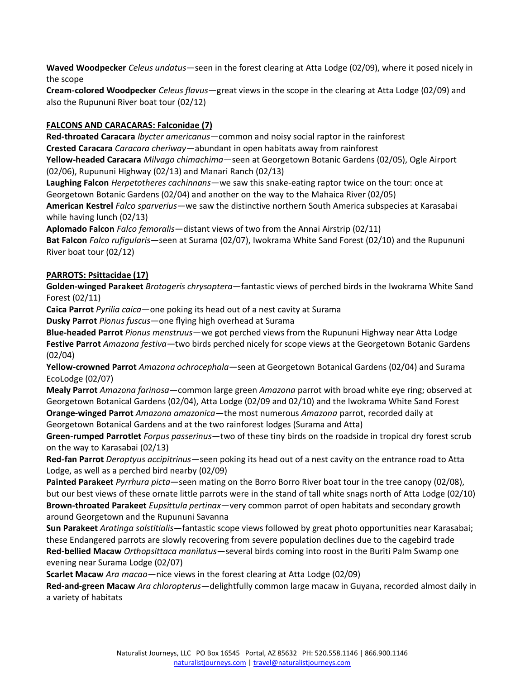**Waved Woodpecker** *Celeus undatus*—seen in the forest clearing at Atta Lodge (02/09), where it posed nicely in the scope

**Cream-colored Woodpecker** *Celeus flavus*—great views in the scope in the clearing at Atta Lodge (02/09) and also the Rupununi River boat tour (02/12)

# **FALCONS AND CARACARAS: Falconidae (7)**

**Red-throated Caracara** *Ibycter americanus*—common and noisy social raptor in the rainforest **Crested Caracara** *Caracara cheriway*—abundant in open habitats away from rainforest

**Yellow-headed Caracara** *Milvago chimachima*—seen at Georgetown Botanic Gardens (02/05), Ogle Airport (02/06), Rupununi Highway (02/13) and Manari Ranch (02/13)

**Laughing Falcon** *Herpetotheres cachinnans*—we saw this snake-eating raptor twice on the tour: once at Georgetown Botanic Gardens (02/04) and another on the way to the Mahaica River (02/05)

**American Kestrel** *Falco sparverius*—we saw the distinctive northern South America subspecies at Karasabai while having lunch (02/13)

**Aplomado Falcon** *Falco femoralis*—distant views of two from the Annai Airstrip (02/11)

**Bat Falcon** *Falco rufigularis*—seen at Surama (02/07), Iwokrama White Sand Forest (02/10) and the Rupununi River boat tour (02/12)

## **PARROTS: Psittacidae (17)**

**Golden-winged Parakeet** *Brotogeris chrysoptera*—fantastic views of perched birds in the Iwokrama White Sand Forest (02/11)

**Caica Parrot** *Pyrilia caica*—one poking its head out of a nest cavity at Surama

**Dusky Parrot** *Pionus fuscus*—one flying high overhead at Surama

**Blue-headed Parrot** *Pionus menstruus*—we got perched views from the Rupununi Highway near Atta Lodge **Festive Parrot** *Amazona festiva*—two birds perched nicely for scope views at the Georgetown Botanic Gardens (02/04)

**Yellow-crowned Parrot** *Amazona ochrocephala*—seen at Georgetown Botanical Gardens (02/04) and Surama EcoLodge (02/07)

**Mealy Parrot** *Amazona farinosa*—common large green *Amazona* parrot with broad white eye ring; observed at Georgetown Botanical Gardens (02/04), Atta Lodge (02/09 and 02/10) and the Iwokrama White Sand Forest **Orange-winged Parrot** *Amazona amazonica*—the most numerous *Amazona* parrot, recorded daily at Georgetown Botanical Gardens and at the two rainforest lodges (Surama and Atta)

**Green-rumped Parrotlet** *Forpus passerinus*—two of these tiny birds on the roadside in tropical dry forest scrub on the way to Karasabai (02/13)

**Red-fan Parrot** *Deroptyus accipitrinus*—seen poking its head out of a nest cavity on the entrance road to Atta Lodge, as well as a perched bird nearby (02/09)

**Painted Parakeet** *Pyrrhura picta*—seen mating on the Borro Borro River boat tour in the tree canopy (02/08), but our best views of these ornate little parrots were in the stand of tall white snags north of Atta Lodge (02/10) **Brown-throated Parakeet** *Eupsittula pertinax*—very common parrot of open habitats and secondary growth around Georgetown and the Rupununi Savanna

**Sun Parakeet** *Aratinga solstitialis*—fantastic scope views followed by great photo opportunities near Karasabai; these Endangered parrots are slowly recovering from severe population declines due to the cagebird trade **Red-bellied Macaw** *Orthopsittaca manilatus*—several birds coming into roost in the Buriti Palm Swamp one evening near Surama Lodge (02/07)

**Scarlet Macaw** *Ara macao*—nice views in the forest clearing at Atta Lodge (02/09)

**Red-and-green Macaw** *Ara chloropterus*—delightfully common large macaw in Guyana, recorded almost daily in a variety of habitats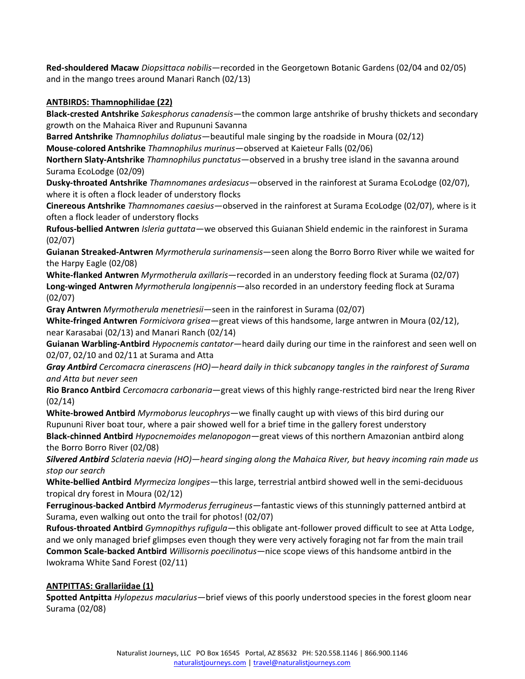**Red-shouldered Macaw** *Diopsittaca nobilis*—recorded in the Georgetown Botanic Gardens (02/04 and 02/05) and in the mango trees around Manari Ranch (02/13)

## **ANTBIRDS: Thamnophilidae (22)**

**Black-crested Antshrike** *Sakesphorus canadensis*—the common large antshrike of brushy thickets and secondary growth on the Mahaica River and Rupununi Savanna

**Barred Antshrike** *Thamnophilus doliatus*—beautiful male singing by the roadside in Moura (02/12)

**Mouse-colored Antshrike** *Thamnophilus murinus*—observed at Kaieteur Falls (02/06)

**Northern Slaty-Antshrike** *Thamnophilus punctatus*—observed in a brushy tree island in the savanna around Surama EcoLodge (02/09)

**Dusky-throated Antshrike** *Thamnomanes ardesiacus*—observed in the rainforest at Surama EcoLodge (02/07), where it is often a flock leader of understory flocks

**Cinereous Antshrike** *Thamnomanes caesius*—observed in the rainforest at Surama EcoLodge (02/07), where is it often a flock leader of understory flocks

**Rufous-bellied Antwren** *Isleria guttata*—we observed this Guianan Shield endemic in the rainforest in Surama (02/07)

**Guianan Streaked-Antwren** *Myrmotherula surinamensis*—seen along the Borro Borro River while we waited for the Harpy Eagle (02/08)

**White-flanked Antwren** *Myrmotherula axillaris*—recorded in an understory feeding flock at Surama (02/07) **Long-winged Antwren** *Myrmotherula longipennis*—also recorded in an understory feeding flock at Surama (02/07)

**Gray Antwren** *Myrmotherula menetriesii*—seen in the rainforest in Surama (02/07)

**White-fringed Antwren** *Formicivora grisea*—great views of this handsome, large antwren in Moura (02/12), near Karasabai (02/13) and Manari Ranch (02/14)

**Guianan Warbling-Antbird** *Hypocnemis cantator*—heard daily during our time in the rainforest and seen well on 02/07, 02/10 and 02/11 at Surama and Atta

*Gray Antbird Cercomacra cinerascens (HO)—heard daily in thick subcanopy tangles in the rainforest of Surama and Atta but never seen*

**Rio Branco Antbird** *Cercomacra carbonaria*—great views of this highly range-restricted bird near the Ireng River (02/14)

**White-browed Antbird** *Myrmoborus leucophrys*—we finally caught up with views of this bird during our Rupununi River boat tour, where a pair showed well for a brief time in the gallery forest understory

**Black-chinned Antbird** *Hypocnemoides melanopogon*—great views of this northern Amazonian antbird along the Borro Borro River (02/08)

*Silvered Antbird Sclateria naevia (HO)—heard singing along the Mahaica River, but heavy incoming rain made us stop our search*

**White-bellied Antbird** *Myrmeciza longipes*—this large, terrestrial antbird showed well in the semi-deciduous tropical dry forest in Moura (02/12)

**Ferruginous-backed Antbird** *Myrmoderus ferrugineus*—fantastic views of this stunningly patterned antbird at Surama, even walking out onto the trail for photos! (02/07)

**Rufous-throated Antbird** *Gymnopithys rufigula*—this obligate ant-follower proved difficult to see at Atta Lodge, and we only managed brief glimpses even though they were very actively foraging not far from the main trail **Common Scale-backed Antbird** *Willisornis poecilinotus*—nice scope views of this handsome antbird in the Iwokrama White Sand Forest (02/11)

## **ANTPITTAS: Grallariidae (1)**

**Spotted Antpitta** *Hylopezus macularius*—brief views of this poorly understood species in the forest gloom near Surama (02/08)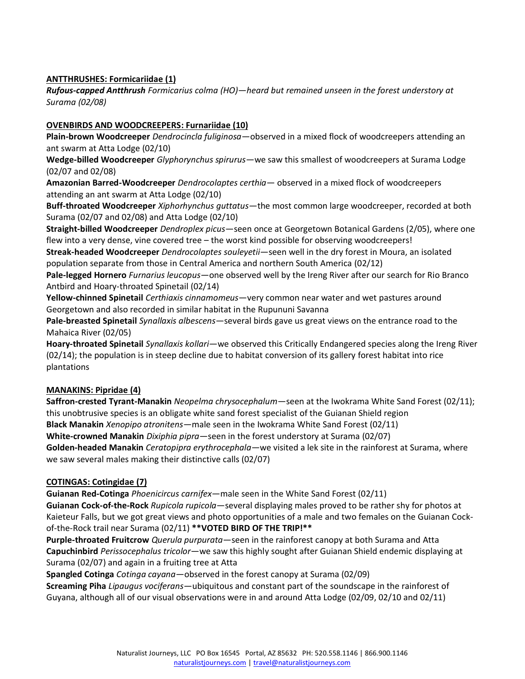# **ANTTHRUSHES: Formicariidae (1)**

*Rufous-capped Antthrush Formicarius colma (HO)—heard but remained unseen in the forest understory at Surama (02/08)*

## **OVENBIRDS AND WOODCREEPERS: Furnariidae (10)**

**Plain-brown Woodcreeper** *Dendrocincla fuliginosa*—observed in a mixed flock of woodcreepers attending an ant swarm at Atta Lodge (02/10)

**Wedge-billed Woodcreeper** *Glyphorynchus spirurus*—we saw this smallest of woodcreepers at Surama Lodge (02/07 and 02/08)

**Amazonian Barred-Woodcreeper** *Dendrocolaptes certhia*— observed in a mixed flock of woodcreepers attending an ant swarm at Atta Lodge (02/10)

**Buff-throated Woodcreeper** *Xiphorhynchus guttatus*—the most common large woodcreeper, recorded at both Surama (02/07 and 02/08) and Atta Lodge (02/10)

**Straight-billed Woodcreeper** *Dendroplex picus*—seen once at Georgetown Botanical Gardens (2/05), where one flew into a very dense, vine covered tree – the worst kind possible for observing woodcreepers!

**Streak-headed Woodcreeper** *Dendrocolaptes souleyetii*—seen well in the dry forest in Moura, an isolated population separate from those in Central America and northern South America (02/12)

**Pale-legged Hornero** *Furnarius leucopus*—one observed well by the Ireng River after our search for Rio Branco Antbird and Hoary-throated Spinetail (02/14)

**Yellow-chinned Spinetail** *Certhiaxis cinnamomeus*—very common near water and wet pastures around Georgetown and also recorded in similar habitat in the Rupununi Savanna

**Pale-breasted Spinetail** *Synallaxis albescens*—several birds gave us great views on the entrance road to the Mahaica River (02/05)

**Hoary-throated Spinetail** *Synallaxis kollari*—we observed this Critically Endangered species along the Ireng River (02/14); the population is in steep decline due to habitat conversion of its gallery forest habitat into rice plantations

## **MANAKINS: Pipridae (4)**

**Saffron-crested Tyrant-Manakin** *Neopelma chrysocephalum*—seen at the Iwokrama White Sand Forest (02/11); this unobtrusive species is an obligate white sand forest specialist of the Guianan Shield region **Black Manakin** *Xenopipo atronitens*—male seen in the Iwokrama White Sand Forest (02/11) **White-crowned Manakin** *Dixiphia pipra*—seen in the forest understory at Surama (02/07) **Golden-headed Manakin** *Ceratopipra erythrocephala*—we visited a lek site in the rainforest at Surama, where we saw several males making their distinctive calls (02/07)

## **COTINGAS: Cotingidae (7)**

**Guianan Red-Cotinga** *Phoenicircus carnifex*—male seen in the White Sand Forest (02/11)

**Guianan Cock-of-the-Rock** *Rupicola rupicola*—several displaying males proved to be rather shy for photos at Kaieteur Falls, but we got great views and photo opportunities of a male and two females on the Guianan Cockof-the-Rock trail near Surama (02/11) **\*\*VOTED BIRD OF THE TRIP!\*\***

**Purple-throated Fruitcrow** *Querula purpurata*—seen in the rainforest canopy at both Surama and Atta **Capuchinbird** *Perissocephalus tricolor*—we saw this highly sought after Guianan Shield endemic displaying at Surama (02/07) and again in a fruiting tree at Atta

**Spangled Cotinga** *Cotinga cayana*—observed in the forest canopy at Surama (02/09)

**Screaming Piha** *Lipaugus vociferans*—ubiquitous and constant part of the soundscape in the rainforest of Guyana, although all of our visual observations were in and around Atta Lodge (02/09, 02/10 and 02/11)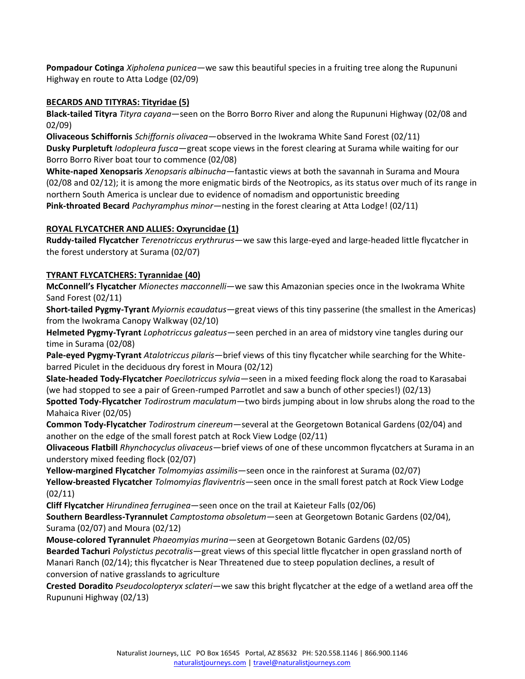**Pompadour Cotinga** *Xipholena punicea*—we saw this beautiful species in a fruiting tree along the Rupununi Highway en route to Atta Lodge (02/09)

# **BECARDS AND TITYRAS: Tityridae (5)**

**Black-tailed Tityra** *Tityra cayana*—seen on the Borro Borro River and along the Rupununi Highway (02/08 and 02/09)

**Olivaceous Schiffornis** *Schiffornis olivacea*—observed in the Iwokrama White Sand Forest (02/11) **Dusky Purpletuft** *Iodopleura fusca*—great scope views in the forest clearing at Surama while waiting for our Borro Borro River boat tour to commence (02/08)

**White-naped Xenopsaris** *Xenopsaris albinucha*—fantastic views at both the savannah in Surama and Moura (02/08 and 02/12); it is among the more enigmatic birds of the Neotropics, as its status over much of its range in northern South America is unclear due to evidence of nomadism and opportunistic breeding **Pink-throated Becard** *Pachyramphus minor*—nesting in the forest clearing at Atta Lodge! (02/11)

# **ROYAL FLYCATCHER AND ALLIES: Oxyruncidae (1)**

**Ruddy-tailed Flycatcher** *Terenotriccus erythrurus*—we saw this large-eyed and large-headed little flycatcher in the forest understory at Surama (02/07)

# **TYRANT FLYCATCHERS: Tyrannidae (40)**

**McConnell's Flycatcher** *Mionectes macconnelli*—we saw this Amazonian species once in the Iwokrama White Sand Forest (02/11)

**Short-tailed Pygmy-Tyrant** *Myiornis ecaudatus*—great views of this tiny passerine (the smallest in the Americas) from the Iwokrama Canopy Walkway (02/10)

**Helmeted Pygmy-Tyrant** *Lophotriccus galeatus*—seen perched in an area of midstory vine tangles during our time in Surama (02/08)

**Pale-eyed Pygmy-Tyrant** *Atalotriccus pilaris*—brief views of this tiny flycatcher while searching for the Whitebarred Piculet in the deciduous dry forest in Moura (02/12)

**Slate-headed Tody-Flycatcher** *Poecilotriccus sylvia*—seen in a mixed feeding flock along the road to Karasabai (we had stopped to see a pair of Green-rumped Parrotlet and saw a bunch of other species!) (02/13)

**Spotted Tody-Flycatcher** *Todirostrum maculatum*—two birds jumping about in low shrubs along the road to the Mahaica River (02/05)

**Common Tody-Flycatcher** *Todirostrum cinereum*—several at the Georgetown Botanical Gardens (02/04) and another on the edge of the small forest patch at Rock View Lodge (02/11)

**Olivaceous Flatbill** *Rhynchocyclus olivaceus*—brief views of one of these uncommon flycatchers at Surama in an understory mixed feeding flock (02/07)

**Yellow-margined Flycatcher** *Tolmomyias assimilis*—seen once in the rainforest at Surama (02/07)

**Yellow-breasted Flycatcher** *Tolmomyias flaviventris*—seen once in the small forest patch at Rock View Lodge (02/11)

**Cliff Flycatcher** *Hirundinea ferruginea*—seen once on the trail at Kaieteur Falls (02/06)

**Southern Beardless-Tyrannulet** *Camptostoma obsoletum*—seen at Georgetown Botanic Gardens (02/04), Surama (02/07) and Moura (02/12)

**Mouse-colored Tyrannulet** *Phaeomyias murina*—seen at Georgetown Botanic Gardens (02/05)

**Bearded Tachuri** *Polystictus pecotralis*—great views of this special little flycatcher in open grassland north of Manari Ranch (02/14); this flycatcher is Near Threatened due to steep population declines, a result of conversion of native grasslands to agriculture

**Crested Doradito** *Pseudocolopteryx sclateri*—we saw this bright flycatcher at the edge of a wetland area off the Rupununi Highway (02/13)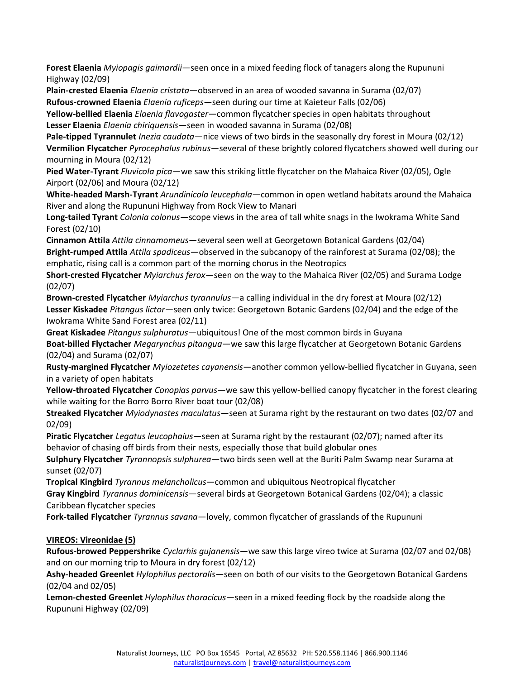**Forest Elaenia** *Myiopagis gaimardii*—seen once in a mixed feeding flock of tanagers along the Rupununi Highway (02/09)

**Plain-crested Elaenia** *Elaenia cristata*—observed in an area of wooded savanna in Surama (02/07) **Rufous-crowned Elaenia** *Elaenia ruficeps*—seen during our time at Kaieteur Falls (02/06)

**Yellow-bellied Elaenia** *Elaenia flavogaster*—common flycatcher species in open habitats throughout **Lesser Elaenia** *Elaenia chiriquensis*—seen in wooded savanna in Surama (02/08)

**Pale-tipped Tyrannulet** *Inezia caudata*—nice views of two birds in the seasonally dry forest in Moura (02/12) **Vermilion Flycatcher** *Pyrocephalus rubinus*—several of these brightly colored flycatchers showed well during our mourning in Moura (02/12)

**Pied Water-Tyrant** *Fluvicola pica*—we saw this striking little flycatcher on the Mahaica River (02/05), Ogle Airport (02/06) and Moura (02/12)

**White-headed Marsh-Tyrant** *Arundinicola leucephala*—common in open wetland habitats around the Mahaica River and along the Rupununi Highway from Rock View to Manari

**Long-tailed Tyrant** *Colonia colonus*—scope views in the area of tall white snags in the Iwokrama White Sand Forest (02/10)

**Cinnamon Attila** *Attila cinnamomeus*—several seen well at Georgetown Botanical Gardens (02/04) **Bright-rumped Attila** *Attila spadiceus*—observed in the subcanopy of the rainforest at Surama (02/08); the emphatic, rising call is a common part of the morning chorus in the Neotropics

**Short-crested Flycatcher** *Myiarchus ferox*—seen on the way to the Mahaica River (02/05) and Surama Lodge (02/07)

**Brown-crested Flycatcher** *Myiarchus tyrannulus*—a calling individual in the dry forest at Moura (02/12) **Lesser Kiskadee** *Pitangus lictor*—seen only twice: Georgetown Botanic Gardens (02/04) and the edge of the Iwokrama White Sand Forest area (02/11)

**Great Kiskadee** *Pitangus sulphuratus*—ubiquitous! One of the most common birds in Guyana

**Boat-billed Flyctacher** *Megarynchus pitangua*—we saw this large flycatcher at Georgetown Botanic Gardens (02/04) and Surama (02/07)

**Rusty-margined Flycatcher** *Myiozetetes cayanensis*—another common yellow-bellied flycatcher in Guyana, seen in a variety of open habitats

**Yellow-throated Flycatcher** *Conopias parvus*—we saw this yellow-bellied canopy flycatcher in the forest clearing while waiting for the Borro Borro River boat tour (02/08)

**Streaked Flycatcher** *Myiodynastes maculatus*—seen at Surama right by the restaurant on two dates (02/07 and 02/09)

**Piratic Flycatcher** *Legatus leucophaius*—seen at Surama right by the restaurant (02/07); named after its behavior of chasing off birds from their nests, especially those that build globular ones

**Sulphury Flycatcher** *Tyrannopsis sulphurea*—two birds seen well at the Buriti Palm Swamp near Surama at sunset (02/07)

**Tropical Kingbird** *Tyrannus melancholicus*—common and ubiquitous Neotropical flycatcher

**Gray Kingbird** *Tyrannus dominicensis*—several birds at Georgetown Botanical Gardens (02/04); a classic Caribbean flycatcher species

**Fork-tailed Flycatcher** *Tyrannus savana*—lovely, common flycatcher of grasslands of the Rupununi

**VIREOS: Vireonidae (5)**

**Rufous-browed Peppershrike** *Cyclarhis gujanensis*—we saw this large vireo twice at Surama (02/07 and 02/08) and on our morning trip to Moura in dry forest (02/12)

**Ashy-headed Greenlet** *Hylophilus pectoralis*—seen on both of our visits to the Georgetown Botanical Gardens (02/04 and 02/05)

**Lemon-chested Greenlet** *Hylophilus thoracicus*—seen in a mixed feeding flock by the roadside along the Rupununi Highway (02/09)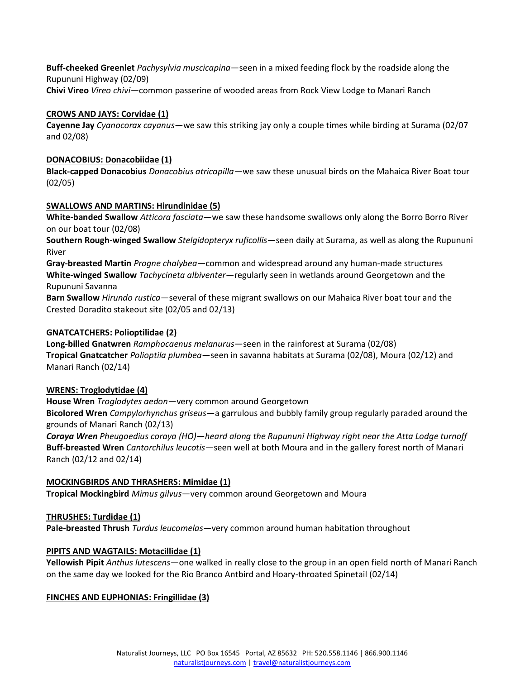**Buff-cheeked Greenlet** *Pachysylvia muscicapina*—seen in a mixed feeding flock by the roadside along the Rupununi Highway (02/09) **Chivi Vireo** *Vireo chivi*—common passerine of wooded areas from Rock View Lodge to Manari Ranch

#### **CROWS AND JAYS: Corvidae (1)**

**Cayenne Jay** *Cyanocorax cayanus*—we saw this striking jay only a couple times while birding at Surama (02/07 and 02/08)

#### **DONACOBIUS: Donacobiidae (1)**

**Black-capped Donacobius** *Donacobius atricapilla*—we saw these unusual birds on the Mahaica River Boat tour (02/05)

#### **SWALLOWS AND MARTINS: Hirundinidae (5)**

**White-banded Swallow** *Atticora fasciata*—we saw these handsome swallows only along the Borro Borro River on our boat tour (02/08)

**Southern Rough-winged Swallow** *Stelgidopteryx ruficollis*—seen daily at Surama, as well as along the Rupununi River

**Gray-breasted Martin** *Progne chalybea*—common and widespread around any human-made structures **White-winged Swallow** *Tachycineta albiventer*—regularly seen in wetlands around Georgetown and the Rupununi Savanna

**Barn Swallow** *Hirundo rustica*—several of these migrant swallows on our Mahaica River boat tour and the Crested Doradito stakeout site (02/05 and 02/13)

## **GNATCATCHERS: Polioptilidae (2)**

**Long-billed Gnatwren** *Ramphocaenus melanurus*—seen in the rainforest at Surama (02/08) **Tropical Gnatcatcher** *Polioptila plumbea*—seen in savanna habitats at Surama (02/08), Moura (02/12) and Manari Ranch (02/14)

#### **WRENS: Troglodytidae (4)**

**House Wren** *Troglodytes aedon*—very common around Georgetown **Bicolored Wren** *Campylorhynchus griseus*—a garrulous and bubbly family group regularly paraded around the grounds of Manari Ranch (02/13)

*Coraya Wren Pheugoedius coraya (HO)—heard along the Rupununi Highway right near the Atta Lodge turnoff*  **Buff-breasted Wren** *Cantorchilus leucotis*—seen well at both Moura and in the gallery forest north of Manari Ranch (02/12 and 02/14)

## **MOCKINGBIRDS AND THRASHERS: Mimidae (1)**

**Tropical Mockingbird** *Mimus gilvus*—very common around Georgetown and Moura

## **THRUSHES: Turdidae (1)**

**Pale-breasted Thrush** *Turdus leucomelas*—very common around human habitation throughout

## **PIPITS AND WAGTAILS: Motacillidae (1)**

**Yellowish Pipit** *Anthus lutescens*—one walked in really close to the group in an open field north of Manari Ranch on the same day we looked for the Rio Branco Antbird and Hoary-throated Spinetail (02/14)

#### **FINCHES AND EUPHONIAS: Fringillidae (3)**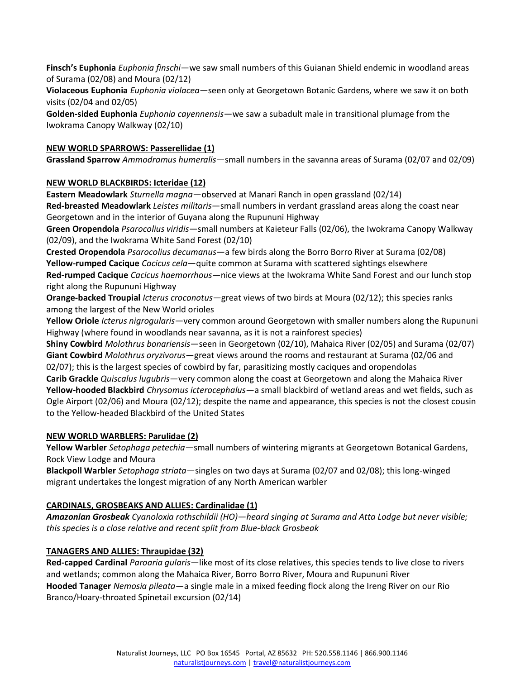**Finsch's Euphonia** *Euphonia finschi*—we saw small numbers of this Guianan Shield endemic in woodland areas of Surama (02/08) and Moura (02/12)

**Violaceous Euphonia** *Euphonia violacea*—seen only at Georgetown Botanic Gardens, where we saw it on both visits (02/04 and 02/05)

**Golden-sided Euphonia** *Euphonia cayennensis*—we saw a subadult male in transitional plumage from the Iwokrama Canopy Walkway (02/10)

# **NEW WORLD SPARROWS: Passerellidae (1)**

**Grassland Sparrow** *Ammodramus humeralis*—small numbers in the savanna areas of Surama (02/07 and 02/09)

## **NEW WORLD BLACKBIRDS: Icteridae (12)**

**Eastern Meadowlark** *Sturnella magna*—observed at Manari Ranch in open grassland (02/14)

**Red-breasted Meadowlark** *Leistes militaris*—small numbers in verdant grassland areas along the coast near Georgetown and in the interior of Guyana along the Rupununi Highway

**Green Oropendola** *Psarocolius viridis*—small numbers at Kaieteur Falls (02/06), the Iwokrama Canopy Walkway (02/09), and the Iwokrama White Sand Forest (02/10)

**Crested Oropendola** *Psarocolius decumanus*—a few birds along the Borro Borro River at Surama (02/08) **Yellow-rumped Cacique** *Cacicus cela*—quite common at Surama with scattered sightings elsewhere **Red-rumped Cacique** *Cacicus haemorrhous*—nice views at the Iwokrama White Sand Forest and our lunch stop right along the Rupununi Highway

**Orange-backed Troupial** *Icterus croconotus*—great views of two birds at Moura (02/12); this species ranks among the largest of the New World orioles

**Yellow Oriole** *Icterus nigrogularis*—very common around Georgetown with smaller numbers along the Rupununi Highway (where found in woodlands near savanna, as it is not a rainforest species)

**Shiny Cowbird** *Molothrus bonariensis*—seen in Georgetown (02/10), Mahaica River (02/05) and Surama (02/07) **Giant Cowbird** *Molothrus oryzivorus*—great views around the rooms and restaurant at Surama (02/06 and 02/07); this is the largest species of cowbird by far, parasitizing mostly caciques and oropendolas

**Carib Grackle** *Quiscalus lugubris*—very common along the coast at Georgetown and along the Mahaica River **Yellow-hooded Blackbird** *Chrysomus icterocephalus*—a small blackbird of wetland areas and wet fields, such as Ogle Airport (02/06) and Moura (02/12); despite the name and appearance, this species is not the closest cousin to the Yellow-headed Blackbird of the United States

# **NEW WORLD WARBLERS: Parulidae (2)**

**Yellow Warbler** *Setophaga petechia*—small numbers of wintering migrants at Georgetown Botanical Gardens, Rock View Lodge and Moura

**Blackpoll Warbler** *Setophaga striata*—singles on two days at Surama (02/07 and 02/08); this long-winged migrant undertakes the longest migration of any North American warbler

# **CARDINALS, GROSBEAKS AND ALLIES: Cardinalidae (1)**

*Amazonian Grosbeak Cyanoloxia rothschildii (HO)—heard singing at Surama and Atta Lodge but never visible; this species is a close relative and recent split from Blue-black Grosbeak*

# **TANAGERS AND ALLIES: Thraupidae (32)**

**Red-capped Cardinal** *Paroaria gularis*—like most of its close relatives, this species tends to live close to rivers and wetlands; common along the Mahaica River, Borro Borro River, Moura and Rupununi River **Hooded Tanager** *Nemosia pileata*—a single male in a mixed feeding flock along the Ireng River on our Rio Branco/Hoary-throated Spinetail excursion (02/14)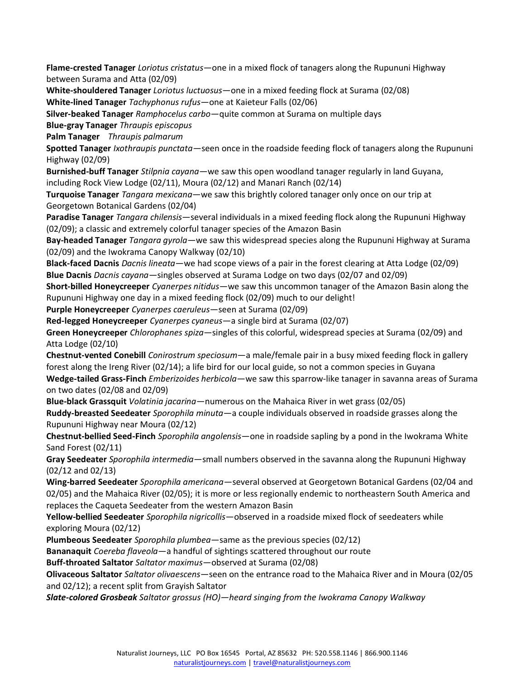**Flame-crested Tanager** *Loriotus cristatus*—one in a mixed flock of tanagers along the Rupununi Highway between Surama and Atta (02/09)

**White-shouldered Tanager** *Loriotus luctuosus*—one in a mixed feeding flock at Surama (02/08) **White-lined Tanager** *Tachyphonus rufus*—one at Kaieteur Falls (02/06)

**Silver-beaked Tanager** *Ramphocelus carbo*—quite common at Surama on multiple days

**Blue-gray Tanager** *Thraupis episcopus*

**Palm Tanager** *Thraupis palmarum*

**Spotted Tanager** *Ixothraupis punctata*—seen once in the roadside feeding flock of tanagers along the Rupununi Highway (02/09)

**Burnished-buff Tanager** *Stilpnia cayana*—we saw this open woodland tanager regularly in land Guyana, including Rock View Lodge (02/11), Moura (02/12) and Manari Ranch (02/14)

**Turquoise Tanager** *Tangara mexicana*—we saw this brightly colored tanager only once on our trip at Georgetown Botanical Gardens (02/04)

**Paradise Tanager** *Tangara chilensis*—several individuals in a mixed feeding flock along the Rupununi Highway (02/09); a classic and extremely colorful tanager species of the Amazon Basin

**Bay-headed Tanager** *Tangara gyrola*—we saw this widespread species along the Rupununi Highway at Surama (02/09) and the Iwokrama Canopy Walkway (02/10)

**Black-faced Dacnis** *Dacnis lineata*—we had scope views of a pair in the forest clearing at Atta Lodge (02/09) **Blue Dacnis** *Dacnis cayana*—singles observed at Surama Lodge on two days (02/07 and 02/09)

**Short-billed Honeycreeper** *Cyanerpes nitidus*—we saw this uncommon tanager of the Amazon Basin along the Rupununi Highway one day in a mixed feeding flock (02/09) much to our delight!

**Purple Honeycreeper** *Cyanerpes caeruleus*—seen at Surama (02/09)

**Red-legged Honeycreeper** *Cyanerpes cyaneus*—a single bird at Surama (02/07)

**Green Honeycreeper** *Chlorophanes spiza*—singles of this colorful, widespread species at Surama (02/09) and Atta Lodge (02/10)

**Chestnut-vented Conebill** *Conirostrum speciosum*—a male/female pair in a busy mixed feeding flock in gallery forest along the Ireng River (02/14); a life bird for our local guide, so not a common species in Guyana

**Wedge-tailed Grass-Finch** *Emberizoides herbicola*—we saw this sparrow-like tanager in savanna areas of Surama on two dates (02/08 and 02/09)

**Blue-black Grassquit** *Volatinia jacarina*—numerous on the Mahaica River in wet grass (02/05)

**Ruddy-breasted Seedeater** *Sporophila minuta*—a couple individuals observed in roadside grasses along the Rupununi Highway near Moura (02/12)

**Chestnut-bellied Seed-Finch** *Sporophila angolensis*—one in roadside sapling by a pond in the Iwokrama White Sand Forest (02/11)

**Gray Seedeater** *Sporophila intermedia*—small numbers observed in the savanna along the Rupununi Highway (02/12 and 02/13)

**Wing-barred Seedeater** *Sporophila americana*—several observed at Georgetown Botanical Gardens (02/04 and 02/05) and the Mahaica River (02/05); it is more or less regionally endemic to northeastern South America and replaces the Caqueta Seedeater from the western Amazon Basin

**Yellow-bellied Seedeater** *Sporophila nigricollis*—observed in a roadside mixed flock of seedeaters while exploring Moura (02/12)

**Plumbeous Seedeater** *Sporophila plumbea*—same as the previous species (02/12)

**Bananaquit** *Coereba flaveola*—a handful of sightings scattered throughout our route

**Buff-throated Saltator** *Saltator maximus*—observed at Surama (02/08)

**Olivaceous Saltator** *Saltator olivaescens*—seen on the entrance road to the Mahaica River and in Moura (02/05 and 02/12); a recent split from Grayish Saltator

*Slate-colored Grosbeak Saltator grossus (HO)—heard singing from the Iwokrama Canopy Walkway*